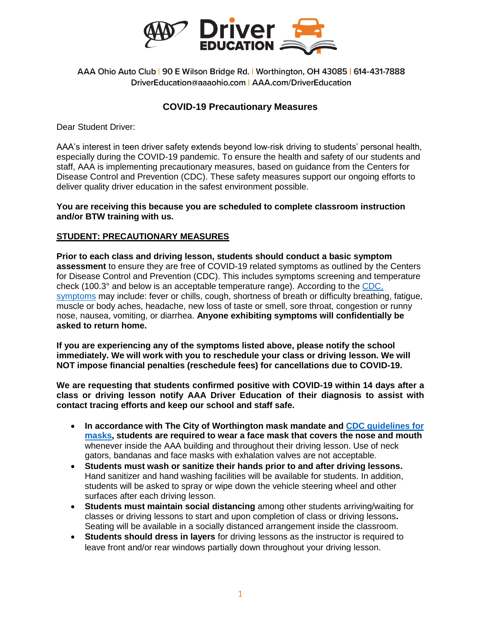

AAA Ohio Auto Club | 90 E Wilson Bridge Rd. | Worthington, OH 43085 | 614-431-7888 DriverEducation@aaaohio.com | AAA.com/DriverEducation

## **COVID-19 Precautionary Measures**

Dear Student Driver:

AAA's interest in teen driver safety extends beyond low-risk driving to students' personal health, especially during the COVID-19 pandemic. To ensure the health and safety of our students and staff, AAA is implementing precautionary measures, based on guidance from the Centers for Disease Control and Prevention (CDC). These safety measures support our ongoing efforts to deliver quality driver education in the safest environment possible.

## **You are receiving this because you are scheduled to complete classroom instruction and/or BTW training with us.**

## **STUDENT: PRECAUTIONARY MEASURES**

**Prior to each class and driving lesson, students should conduct a basic symptom assessment** to ensure they are free of COVID-19 related symptoms as outlined by the Centers for Disease Control and Prevention (CDC). This includes symptoms screening and temperature check (100.3° and below is an acceptable temperature range). According to the [CDC,](https://www.cdc.gov/coronavirus/2019-ncov/symptoms-testing/symptoms.html)  [symptoms](https://www.cdc.gov/coronavirus/2019-ncov/symptoms-testing/symptoms.html) may include: fever or chills, cough, shortness of breath or difficulty breathing, fatigue, muscle or body aches, headache, new loss of taste or smell, sore throat, congestion or runny nose, nausea, vomiting, or diarrhea. **Anyone exhibiting symptoms will confidentially be asked to return home.** 

**If you are experiencing any of the symptoms listed above, please notify the school immediately. We will work with you to reschedule your class or driving lesson. We will NOT impose financial penalties (reschedule fees) for cancellations due to COVID-19.**

**We are requesting that students confirmed positive with COVID-19 within 14 days after a class or driving lesson notify AAA Driver Education of their diagnosis to assist with contact tracing efforts and keep our school and staff safe.**

- **In accordance with The City of Worthington mask mandate and [CDC guidelines for](https://www.cdc.gov/coronavirus/2019-ncov/prevent-getting-sick/about-face-coverings.html)  [masks,](https://www.cdc.gov/coronavirus/2019-ncov/prevent-getting-sick/about-face-coverings.html) students are required to wear a face mask that covers the nose and mouth** whenever inside the AAA building and throughout their driving lesson. Use of neck gators, bandanas and face masks with exhalation valves are not acceptable.
- **Students must wash or sanitize their hands prior to and after driving lessons.**  Hand sanitizer and hand washing facilities will be available for students. In addition, students will be asked to spray or wipe down the vehicle steering wheel and other surfaces after each driving lesson.
- **Students must maintain social distancing** among other students arriving/waiting for classes or driving lessons to start and upon completion of class or driving lessons**.**  Seating will be available in a socially distanced arrangement inside the classroom.
- **Students should dress in layers** for driving lessons as the instructor is required to leave front and/or rear windows partially down throughout your driving lesson.